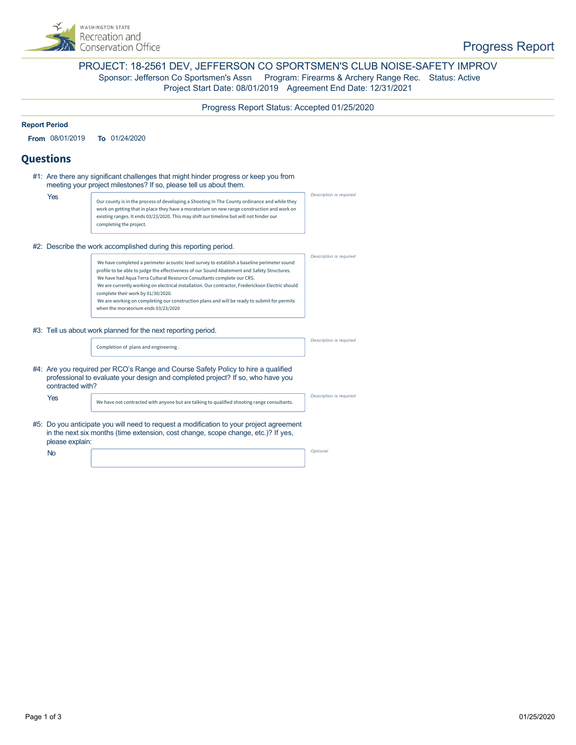

### PROJECT: 18-2561 DEV, JEFFERSON CO SPORTSMEN'S CLUB NOISE-SAFETY IMPROV Sponsor: Jefferson Co Sportsmen's Assn Program: Firearms & Archery Range Rec. Status: Active Project Start Date: 08/01/2019 Agreement End Date: 12/31/2021

### Progress Report Status: Accepted 01/25/2020

#### **Report Period**

**From** 08/01/2019 **To** 01/24/2020

### **Questions**

|                                                                  | #1: Are there any significant challenges that might hinder progress or keep you from<br>meeting your project milestones? If so, please tell us about them.                                      |                                                                                                                                                                                                                                                                                                                                                                                                                                                                                                                                                       |                                |  |  |  |
|------------------------------------------------------------------|-------------------------------------------------------------------------------------------------------------------------------------------------------------------------------------------------|-------------------------------------------------------------------------------------------------------------------------------------------------------------------------------------------------------------------------------------------------------------------------------------------------------------------------------------------------------------------------------------------------------------------------------------------------------------------------------------------------------------------------------------------------------|--------------------------------|--|--|--|
|                                                                  | Yes                                                                                                                                                                                             | Our county is in the process of developing a Shooting In The County ordinance and while they<br>work on getting that in place they have a moratorium on new range construction and work on<br>existing ranges. It ends 03/23/2020. This may shift our timeline but will not hinder our<br>completing the project.                                                                                                                                                                                                                                     | Description is required        |  |  |  |
| #2: Describe the work accomplished during this reporting period. |                                                                                                                                                                                                 |                                                                                                                                                                                                                                                                                                                                                                                                                                                                                                                                                       |                                |  |  |  |
|                                                                  |                                                                                                                                                                                                 | We have completed a perimeter acoustic level survey to establish a baseline perimeter sound<br>profile to be able to judge the effectiveness of our Sound Abatement and Safety Structures.<br>We have had Aqua Terra Cultural Resource Consultants complete our CRS.<br>We are currently working on electrical installation. Our contractor, Frederickson Electric should<br>complete their work by 01/30/2020.<br>We are working on completing our construction plans and will be ready to submit for permits<br>when the moratorium ends 03/23/2020 | Description is required        |  |  |  |
|                                                                  | #3: Tell us about work planned for the next reporting period.                                                                                                                                   |                                                                                                                                                                                                                                                                                                                                                                                                                                                                                                                                                       |                                |  |  |  |
|                                                                  |                                                                                                                                                                                                 | Completion of plans and engineering.                                                                                                                                                                                                                                                                                                                                                                                                                                                                                                                  | Description is required        |  |  |  |
|                                                                  | #4: Are you required per RCO's Range and Course Safety Policy to hire a qualified<br>professional to evaluate your design and completed project? If so, who have you<br>contracted with?        |                                                                                                                                                                                                                                                                                                                                                                                                                                                                                                                                                       |                                |  |  |  |
|                                                                  | Yes                                                                                                                                                                                             | We have not contracted with anyone but are talking to qualified shooting range consultants.                                                                                                                                                                                                                                                                                                                                                                                                                                                           | <b>Description is required</b> |  |  |  |
|                                                                  | #5: Do you anticipate you will need to request a modification to your project agreement<br>in the next six months (time extension, cost change, scope change, etc.)? If yes,<br>please explain: |                                                                                                                                                                                                                                                                                                                                                                                                                                                                                                                                                       |                                |  |  |  |
|                                                                  | <b>No</b>                                                                                                                                                                                       |                                                                                                                                                                                                                                                                                                                                                                                                                                                                                                                                                       | Optional                       |  |  |  |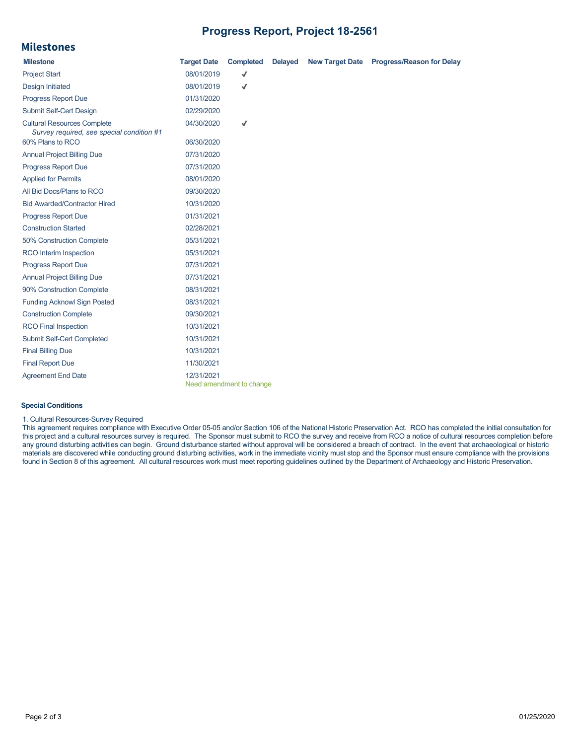## **Progress Report, Project 18-2561**

# **Milestones**

| <b>Milestone</b>                                                                | <b>Target Date</b> | <b>Completed</b>         | <b>Delayed</b> | New Target Date Progress/Reason for Delay |
|---------------------------------------------------------------------------------|--------------------|--------------------------|----------------|-------------------------------------------|
| <b>Project Start</b>                                                            | 08/01/2019         | √                        |                |                                           |
| <b>Design Initiated</b>                                                         | 08/01/2019         | √                        |                |                                           |
| <b>Progress Report Due</b>                                                      | 01/31/2020         |                          |                |                                           |
| Submit Self-Cert Design                                                         | 02/29/2020         |                          |                |                                           |
| <b>Cultural Resources Complete</b><br>Survey required, see special condition #1 | 04/30/2020         | √                        |                |                                           |
| 60% Plans to RCO                                                                | 06/30/2020         |                          |                |                                           |
| <b>Annual Project Billing Due</b>                                               | 07/31/2020         |                          |                |                                           |
| <b>Progress Report Due</b>                                                      | 07/31/2020         |                          |                |                                           |
| <b>Applied for Permits</b>                                                      | 08/01/2020         |                          |                |                                           |
| All Bid Docs/Plans to RCO                                                       | 09/30/2020         |                          |                |                                           |
| <b>Bid Awarded/Contractor Hired</b>                                             | 10/31/2020         |                          |                |                                           |
| <b>Progress Report Due</b>                                                      | 01/31/2021         |                          |                |                                           |
| <b>Construction Started</b>                                                     | 02/28/2021         |                          |                |                                           |
| 50% Construction Complete                                                       | 05/31/2021         |                          |                |                                           |
| RCO Interim Inspection                                                          | 05/31/2021         |                          |                |                                           |
| <b>Progress Report Due</b>                                                      | 07/31/2021         |                          |                |                                           |
| <b>Annual Project Billing Due</b>                                               | 07/31/2021         |                          |                |                                           |
| 90% Construction Complete                                                       | 08/31/2021         |                          |                |                                           |
| <b>Funding Acknowl Sign Posted</b>                                              | 08/31/2021         |                          |                |                                           |
| <b>Construction Complete</b>                                                    | 09/30/2021         |                          |                |                                           |
| <b>RCO Final Inspection</b>                                                     | 10/31/2021         |                          |                |                                           |
| Submit Self-Cert Completed                                                      | 10/31/2021         |                          |                |                                           |
| <b>Final Billing Due</b>                                                        | 10/31/2021         |                          |                |                                           |
| <b>Final Report Due</b>                                                         | 11/30/2021         |                          |                |                                           |
| <b>Agreement End Date</b>                                                       | 12/31/2021         | Need amendment to change |                |                                           |

#### **Special Conditions**

#### 1. Cultural Resources-Survey Required

This agreement requires compliance with Executive Order 05-05 and/or Section 106 of the National Historic Preservation Act. RCO has completed the initial consultation for this project and a cultural resources survey is required. The Sponsor must submit to RCO the survey and receive from RCO a notice of cultural resources completion before any ground disturbing activities can begin. Ground disturbance started without approval will be considered a breach of contract. In the event that archaeological or historic materials are discovered while conducting ground disturbing activities, work in the immediate vicinity must stop and the Sponsor must ensure compliance with the provisions found in Section 8 of this agreement. All cultural resources work must meet reporting guidelines outlined by the Department of Archaeology and Historic Preservation.